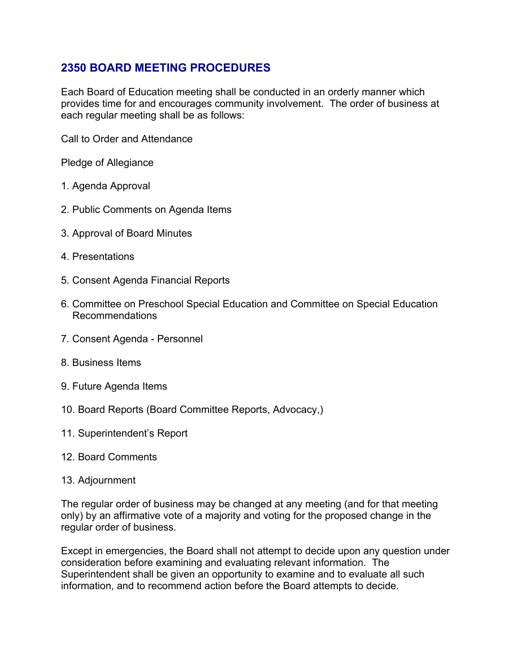## **2350 BOARD MEETING PROCEDURES**

Each Board of Education meeting shall be conducted in an orderly manner which provides time for and encourages community involvement. The order of business at each regular meeting shall be as follows:

Call to Order and Attendance

Pledge of Allegiance

- 1. Agenda Approval
- 2. Public Comments on Agenda Items
- 3. Approval of Board Minutes
- 4. Presentations
- 5. Consent Agenda Financial Reports
- 6. Committee on Preschool Special Education and Committee on Special Education Recommendations
- 7. Consent Agenda Personnel
- 8. Business Items
- 9. Future Agenda Items
- 10. Board Reports (Board Committee Reports, Advocacy,)
- 11. Superintendent's Report
- 12. Board Comments
- 13. Adjournment

The regular order of business may be changed at any meeting (and for that meeting only) by an affirmative vote of a majority and voting for the proposed change in the regular order of business.

Except in emergencies, the Board shall not attempt to decide upon any question under consideration before examining and evaluating relevant information. The Superintendent shall be given an opportunity to examine and to evaluate all such information, and to recommend action before the Board attempts to decide.